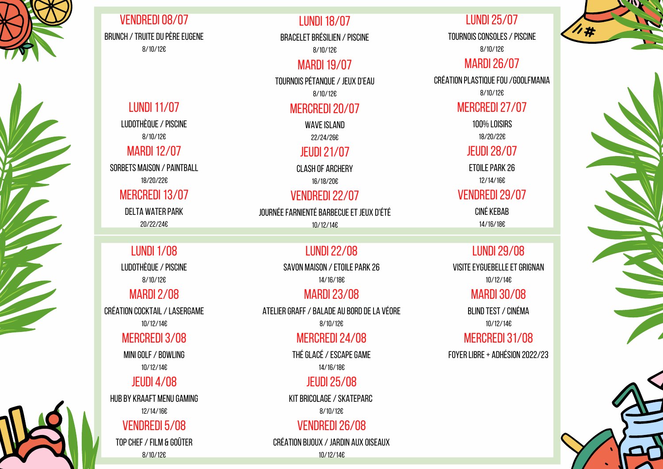8/10/12€

#### **MARDI 19/07**

TOURNOIS PÉTANQUE / JEUX

8/10/12€

#### MERCREDI 20/07

WAVE ISLAND

LUNDI25/07 TOURNOIS CONSOLES / PISCINE

22/24/26€

#### JEUDI21/07

CLASH OF ARCHERY 16/18/20€

## VENDREDI 22/07

**JOURNÉE FARNIENTÉ BARBECUE ET** 

ETOILE PARK 26 12/14/16€

10/12/14€

LUDOTHÈQUE / PISCINE 8/10/12€

#### **MARDI12/07**

8/10/12€

## **MARDI 26/07**

CRÉATION PLASTIQUE FOU / GOOLFMANIA

SORBETS MAISON / PAINTBALL 18/20/22€

#### MERCREDI 13/07

DELTA WATER PARK 20/22/24€

# **LUNDI 1/08** LUDOTHÈQUE / PISCINE

8/10/12€

#### MERCREDI27/07

CRÉATION COCKTAIL / LASERGAME 10/12/14€

## MERCREDI 3/08

100% LOISIRS 18/20/22€

MINI GOLF / BOWLING 10/12/14€

#### JEUDI28/07

HUB BY KRAAFT MENU GAMING 12/14/16€

# VENDREDI 5/08

#### VENDREDI29/07

TOP CHEF / FILM & GOÛTER 8/10/12€

| <b>CINE</b>       |
|-------------------|
| D'EAU             |
| 7                 |
|                   |
|                   |
| 7<br>T JEUX D'ÉTÉ |
|                   |

CINÉ KEBAB 14/16/18€



VENDREDI08/07 BRUNCH / TRUITE DU PÈRE EUGENE 8/10/12€

#### **LUNDI 18/07**

BRACELET BRÉSILIEN / PISC

ATELIER GRAFF / BALADE AU BORD DE LA VÉORE 8/10/12€

> THÉ GLACÉ / ESCAPE GAME 14/16/18€

KIT BRICOLAGE / SKATEPARC 8/10/12€

VENDREDI 26/08 CRÉATION BIJOUX /JARDIN AUX OISEAUX BLIND TEST / CINÉMA 10/12/14€

## MERCREDI 31/08

8/10/12€

## MARDI2/08

## JEUDI 4/08

#### LUNDI22/08

SAVON MAISON / ETOILE PARK 26

14/16/18€

#### **MARDI 23/08**

## MERCREDI24/08

#### JEUDI25/08

10/12/14€

## **LUNDI 11/07**

## LUNDI29/08

VISITE EYGUEBELLE ET GRIGNAN

10/12/14€

## **MARDI 30/08**

FOYERLIBRE+ ADHÉSION 2022/23